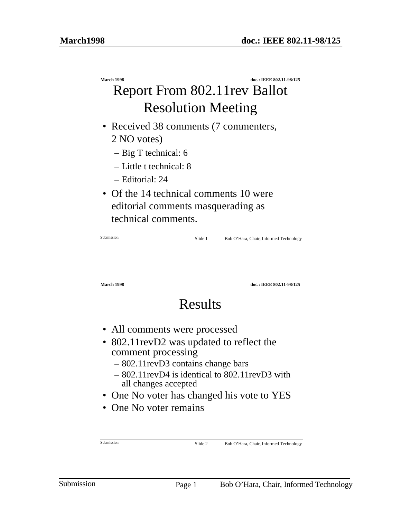**doc.: IEEE 802.11-98/125**

# Report From 802.11rev Ballot Resolution Meeting

- Received 38 comments (7 commenters, 2 NO votes)
	- Big T technical: 6
	- Little t technical: 8
	- Editorial: 24
- Of the 14 technical comments 10 were editorial comments masquerading as technical comments.

| Submission                                                                                       | Slide 1 | Bob O'Hara, Chair, Informed Technology |
|--------------------------------------------------------------------------------------------------|---------|----------------------------------------|
| <b>March 1998</b>                                                                                |         | doc.: IEEE 802.11-98/125               |
|                                                                                                  | Results |                                        |
| • All comments were processed<br>• 802.11 revD2 was updated to reflect the<br>comment processing |         |                                        |

- 802.11revD3 contains change bars
- 802.11revD4 is identical to 802.11revD3 with all changes accepted
- One No voter has changed his vote to YES
- One No voter remains

**Submission** 

Slide 2 Bob O'Hara, Chair, Informed Technology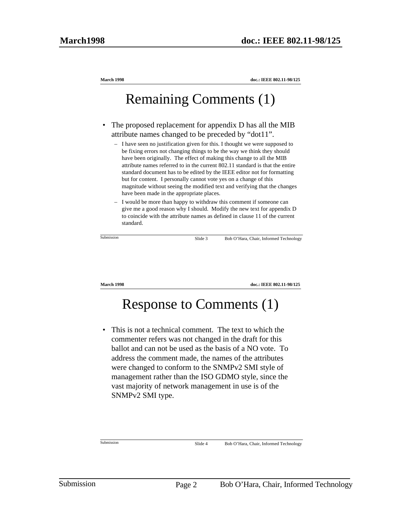| <b>March 1998</b> | doc.: IEEE 802.11-98/125<br><b>Remaining Comments (1)</b>                                                                                                                                                                                                                                                                                                                                                                                                                                                                                                                                    |
|-------------------|----------------------------------------------------------------------------------------------------------------------------------------------------------------------------------------------------------------------------------------------------------------------------------------------------------------------------------------------------------------------------------------------------------------------------------------------------------------------------------------------------------------------------------------------------------------------------------------------|
|                   | The proposed replacement for appendix D has all the MIB                                                                                                                                                                                                                                                                                                                                                                                                                                                                                                                                      |
|                   | attribute names changed to be preceded by "dot11".                                                                                                                                                                                                                                                                                                                                                                                                                                                                                                                                           |
|                   | - I have seen no justification given for this. I thought we were supposed to<br>be fixing errors not changing things to be the way we think they should<br>have been originally. The effect of making this change to all the MIB<br>attribute names referred to in the current 802.11 standard is that the entire<br>standard document has to be edited by the IEEE editor not for formatting<br>but for content. I personally cannot vote yes on a change of this<br>magnitude without seeing the modified text and verifying that the changes<br>have been made in the appropriate places. |
| standard.         | - I would be more than happy to withdraw this comment if someone can<br>give me a good reason why I should. Modify the new text for appendix D<br>to coincide with the attribute names as defined in clause 11 of the current                                                                                                                                                                                                                                                                                                                                                                |
| Submission        | Slide 3<br>Bob O'Hara, Chair, Informed Technology                                                                                                                                                                                                                                                                                                                                                                                                                                                                                                                                            |

**doc.: IEEE 802.11-98/125**

# Response to Comments (1)

• This is not a technical comment. The text to which the commenter refers was not changed in the draft for this ballot and can not be used as the basis of a NO vote. To address the comment made, the names of the attributes were changed to conform to the SNMPv2 SMI style of management rather than the ISO GDMO style, since the vast majority of network management in use is of the SNMPv2 SMI type.

**Submission** 

Slide 4 Bob O'Hara, Chair, Informed Technology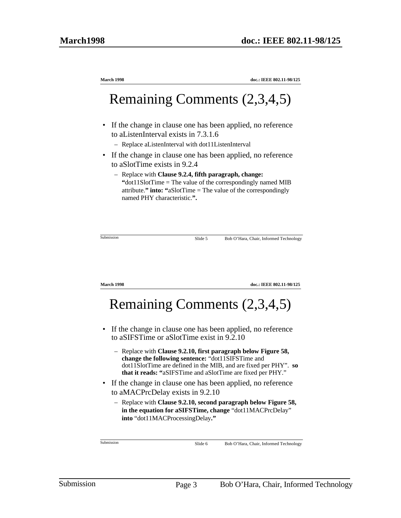**doc.: IEEE 802.11-98/125**

# Remaining Comments (2,3,4,5)

- If the change in clause one has been applied, no reference to aListenInterval exists in 7.3.1.6
	- Replace aListenInterval with dot11ListenInterval
- If the change in clause one has been applied, no reference to aSlotTime exists in 9.2.4
	- Replace with **Clause 9.2.4, fifth paragraph, change: "**dot11SlotTime = The value of the correspondingly named MIB attribute.**" into: "**aSlotTime = The value of the correspondingly named PHY characteristic.**".**

| Slide 5 | Bob O'Hara, Chair, Informed Technology |  |
|---------|----------------------------------------|--|

**March 1998**

Submission

**doc.: IEEE 802.11-98/125**

# Remaining Comments (2,3,4,5)

- If the change in clause one has been applied, no reference to aSIFSTime or aSlotTime exist in 9.2.10
	- Replace with **Clause 9.2.10, first paragraph below Figure 58, change the following sentence:** "dot11SIFSTime and dot11SlotTime are defined in the MIB, and are fixed per PHY". **so that it reads: "**aSIFSTime and aSlotTime are fixed per PHY."
- If the change in clause one has been applied, no reference to aMACPrcDelay exists in 9.2.10
	- Replace with **Clause 9.2.10, second paragraph below Figure 58, in the equation for aSIFSTime, change** "dot11MACPrcDelay" **into** "dot11MACProcessingDelay**."**

**Submission**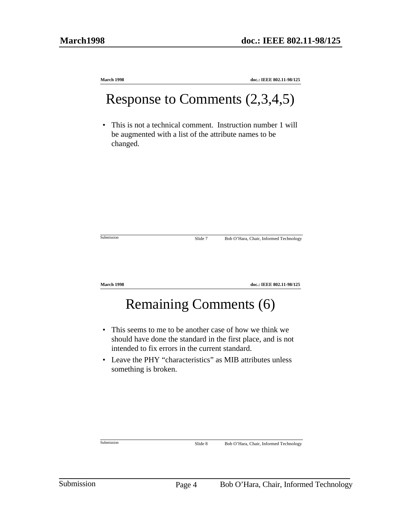**doc.: IEEE 802.11-98/125**

# Response to Comments (2,3,4,5)

• This is not a technical comment. Instruction number 1 will be augmented with a list of the attribute names to be changed.

| Slide 7                                         | Bob O'Hara, Chair, Informed Technology                                                                                 |
|-------------------------------------------------|------------------------------------------------------------------------------------------------------------------------|
|                                                 | doc.: IEEE 802.11-98/125                                                                                               |
|                                                 | <b>Remaining Comments (6)</b>                                                                                          |
| intended to fix errors in the current standard. | This seems to me to be another case of how we think we<br>should have done the standard in the first place, and is not |
|                                                 | • Leave the PHY "characteristics" as MIB attributes unless                                                             |
|                                                 |                                                                                                                        |

**Submission** 

Slide 8 Bob O'Hara, Chair, Informed Technology